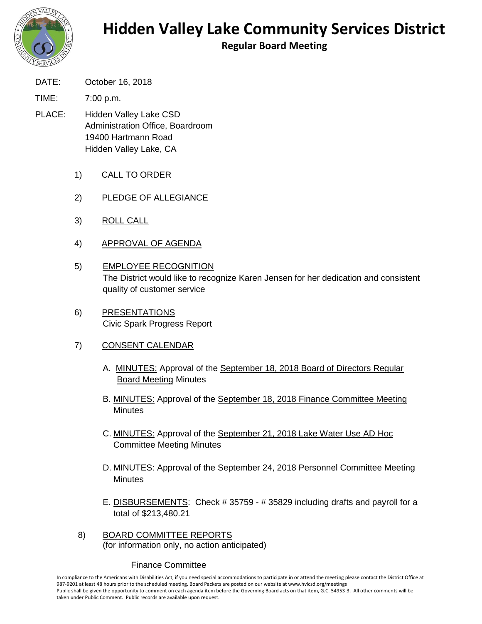

## **Hidden Valley Lake Community Services District**

**Regular Board Meeting**

- DATE: October 16, 2018
- TIME: 7:00 p.m.
- PLACE: Hidden Valley Lake CSD Administration Office, Boardroom 19400 Hartmann Road Hidden Valley Lake, CA
	- 1) CALL TO ORDER
	- 2) PLEDGE OF ALLEGIANCE
	- 3) ROLL CALL
	- 4) APPROVAL OF AGENDA
	- 5) EMPLOYEE RECOGNITION The District would like to recognize Karen Jensen for her dedication and consistent quality of customer service
	- 6) PRESENTATIONS Civic Spark Progress Report
	- 7) CONSENT CALENDAR
		- A. MINUTES: Approval of the September 18, 2018 Board of Directors Regular Board Meeting Minutes
		- B. MINUTES: Approval of the September 18, 2018 Finance Committee Meeting **Minutes**
		- C. MINUTES: Approval of the September 21, 2018 Lake Water Use AD Hoc Committee Meeting Minutes
		- D. MINUTES: Approval of the September 24, 2018 Personnel Committee Meeting **Minutes**
		- E. DISBURSEMENTS: Check # 35759 # 35829 including drafts and payroll for a total of \$213,480.21
	- 8) BOARD COMMITTEE REPORTS (for information only, no action anticipated)

## Finance Committee

In compliance to the Americans with Disabilities Act, if you need special accommodations to participate in or attend the meeting please contact the District Office at 987-9201 at least 48 hours prior to the scheduled meeting. Board Packets are posted on our website at www.hvlcsd.org/meetings Public shall be given the opportunity to comment on each agenda item before the Governing Board acts on that item, G.C. 54953.3. All other comments will be taken under Public Comment. Public records are available upon request.